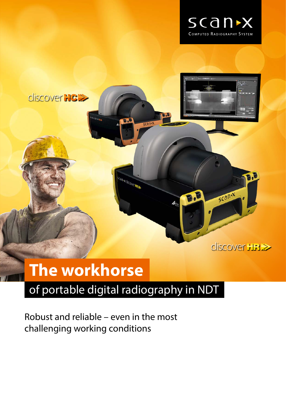



# **The workhorse**

### of portable digital radiography in NDT

Robust and reliable – even in the most challenging working conditions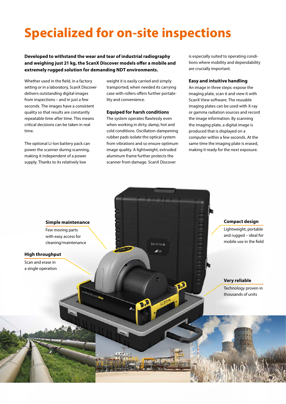## **Specialized for on-site inspections**

**Developed to withstand the wear and tear of industrial radiography and weighing just 21 kg, the ScanX Discover models offer a mobile and extremely rugged solution for demanding NDT environments.**

Whether used in the field, in a factory setting or in a laboratory, ScanX Discover delivers outstanding digital images from inspections – and in just a few seconds. The images have a consistent quality so that results are constantly repeatable time after time. This means critical decisions can be taken in real time.

The optional Li-Ion battery pack can power the scanner during scanning, making it independent of a power supply. Thanks to its relatively low

weight it is easily carried and simply transported; when needed its carrying case with rollers offers further portability and convenience.

#### **Equiped for harsh conditions**

The system operates flawlessly even when working in dirty, damp, hot and cold conditions. Oscillation-dampening rubber pads isolate the optical system from vibrations and so ensure optimum image quality. A lightweight, extruded aluminum frame further protects the scanner from damage. ScanX Discover

is especially suited to operating conditions where mobility and dependability are crucially important.

#### **Easy and intuitive handling**

An image in three steps: expose the imaging plate, scan it and view it with ScanX View software. The reusable imaging plates can be used with X-ray or gamma radiation sources and record the image information. By scanning the imaging plate, a digital image is produced that is displayed on a computer within a few seconds. At the same time the imaging plate is erased, making it ready for the next exposure.

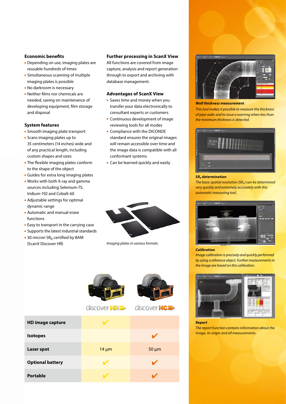#### **Economic benefits**

- Depending on use, imaging plates are reusable hundreds of times
- **Simultaneous scanning of multiple** imaging plates is possible
- **No darkroom is necessary**
- Neither films nor chemicals are needed, saving on maintenance of developing equipment, film storage and disposal

#### **System features**

- **Smooth imaging plate transport**
- Scans imaging plates up to 35 centimeters (14 inches) wide and of any practical length, including custom shapes and sizes
- **The flexible imaging plates conform** to the shape of the object
- Guides for extra long imaging plates
- Works with both X-ray and gamma sources including Selenium-75, Iridium-192 and Cobalt-60
- Adjustable settings for optimal dynamic range
- Automatic and manual erase functions
- **Easy to transport in the carrying case**
- **Supports the latest industrial standards**
- $\blacksquare$  30 micron SR<sub>b</sub> certified by BAM (ScanX Discover HR) *Imaging plates in various formats*

**Optional battery** 

#### **Further processing in ScanX View**

All functions are covered from image capture, analysis and report generation through to export and archiving with database management.

#### **Advantages of ScanX View**

- **Saves time and money when you** transfer your data electronically to consultant experts or customers
- **Continuous development of image** reviewing tools for all modes
- **Compliance with the DICONDE** standard ensures the original images will remain accessible over time and the image data is compatible with all conformant systems
- **Can be learned quickly and easily**





Portable  $\overline{V}$  4  $\overline{V}$  4  $\overline{V}$ 



#### *Wall thickness measurement*

*This tool makes it possible to measure the thickness of pipe walls and to issue a warning when less than the minimum thickness is detected.*



#### *SRb determination*

*The basic spatial resolution (SR<sub>b</sub>) can be determined very quickly and extremely accurately with this automatic measuring tool.*



#### *Calibration*

*Image calibration is precisely and quickly performed by using a reference object. Further measurements in the image are based on this calibration.*



#### *Report*

*The report function contains information about the image, its origin and all measurements.*